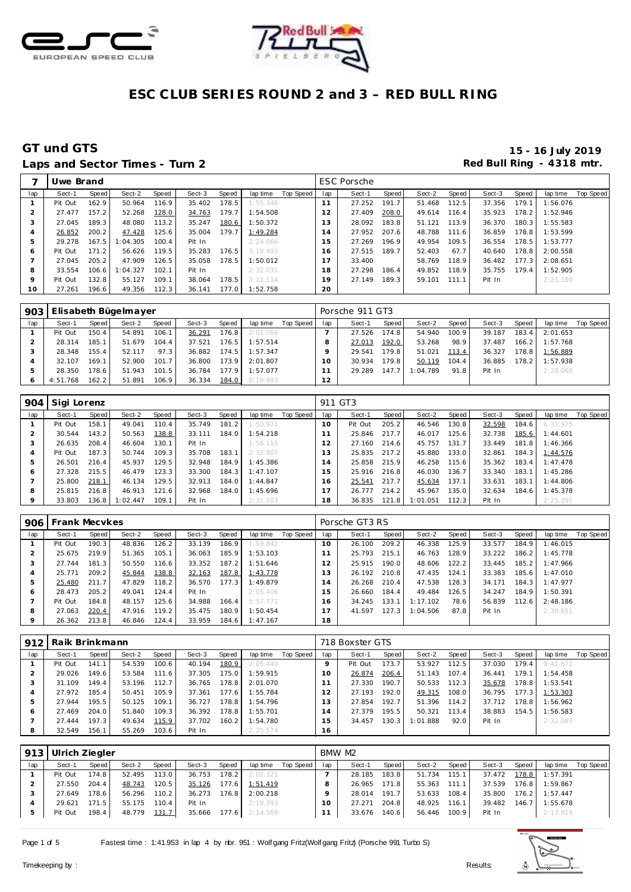



## Laps and Sector Times - Turn 2 **Red Bull Ring - 4318 mtr.**

|         | Uwe Brand |       |          |       |        |       |          |           |                      | <b>ESC Porsche</b> |                    |        |       |        |       |          |           |
|---------|-----------|-------|----------|-------|--------|-------|----------|-----------|----------------------|--------------------|--------------------|--------|-------|--------|-------|----------|-----------|
| lap     | Sect-1    | Speed | Sect-2   | Speed | Sect-3 | Speed | lap time | Top Speed | lap                  | Sect-1             | Speed              | Sect-2 | Speed | Sect-3 | Speed | lap time | Top Speed |
|         | Pit Out   | 162.9 | 50.964   | 116.9 | 35.402 | 178.5 | 1:55.346 |           | 11                   | 27.252             | 191.7 <sub>1</sub> | 51.468 | 112.5 | 37.356 | 179.1 | 1:56.076 |           |
|         | 27.477    | 157.2 | 52.268   | 128.0 | 34.763 | 179.7 | 1:54.508 |           | 12                   | 27.409             | 208.0              | 49.614 | 116.4 | 35.923 | 178.2 | 1:52.946 |           |
| 3       | 27.045    | 189.3 | 48.080   | 113.2 | 35.247 | 180.6 | 1:50.372 |           | 13                   | 28.092             | 183.8              | 51.121 | 113.9 | 36.370 | 180.3 | 1:55.583 |           |
| 4       | 26.852    | 200.2 | 47.428   | 125.6 | 35.004 | 179.7 | 1:49.284 |           | ×,<br>$\overline{4}$ | 27.952             | 207.6              | 48.788 | 111.6 | 36.859 | 178.8 | 1:53.599 |           |
| 5       | 29.278    | 167.5 | :04.305  | 100.4 | Pit In |       | 2:24.066 |           | 5                    | 27.269             | 196.9              | 49.954 | 109.5 | 36.554 | 178.5 | 1:53.777 |           |
| O       | Pit Out   | 171.2 | 56.626   | 119.5 | 35.283 | 176.5 | 3:19.483 |           | 6                    | 27.515             | 189.7              | 52.403 | 67.7  | 40.640 | 178.8 | 2:00.558 |           |
|         | 27.045    | 205.2 | 47.909   | 126.5 | 35.058 | 178.5 | 1:50.012 |           |                      | 33.400             |                    | 58.769 | 118.9 | 36.482 | 177.3 | 2:08.651 |           |
| 8       | 33.554    | 106.6 | : 04.327 | 102.1 | Pit In |       | 2:32.031 |           | 18                   | 27.298             | 186.4              | 49.852 | 118.9 | 35.755 | 179.4 | 1:52.905 |           |
| $\circ$ | Pit Out   | 132.8 | 55.127   | 109.1 | 38.064 | 178.5 | 3:11.114 |           | 19                   | 27.149             | 189.3              | 59.101 | 111.1 | Pit In |       | 2:21.180 |           |
| 10      | 27.261    | 196.6 | 49.356   | 112.3 | 36.141 | 177.0 | 1:52.758 |           | 20                   |                    |                    |        |       |        |       |          |           |

| 903 |          |              | Elisabeth Bügelmayer |       |        |        |          |           |     | Porsche 911 GT3 |        |          |       |        |       |          |           |
|-----|----------|--------------|----------------------|-------|--------|--------|----------|-----------|-----|-----------------|--------|----------|-------|--------|-------|----------|-----------|
| lap | Sect-1   | <b>Speed</b> | Sect-2               | Speed | Sect-3 | Speed  | lap time | Top Speed | lap | Sect-1          | Speed  | Sect-2   | Speed | Sect-3 | Speed | lap time | Top Speed |
|     | Pit Out  | 150.4        | 54.891               | 106.1 | 36.291 | 76.8   | 2:01.066 |           |     | 27.526          | 174.8  | 54.940   | 100.9 | 39.187 | 183.4 | 2:01.653 |           |
|     | 28.314   | 185.1        | 51.679               | 104.4 | 37.521 | 176.5  | 1:57.514 |           |     | 27.013          | 192.0  | 53.268   | 98.9  | 37.487 | 166.2 | 1:57.768 |           |
|     | 28.348   | 155.4        | 52.117               | 97.3  | 36.882 | 174.5  | 1:57.347 |           |     | 29.541          | 179.81 | 51.021   | 113.4 | 36.327 | 178.8 | 1:56.889 |           |
|     | 32.107   | 169.1        | 52.900               | 101.7 | 36.800 | 173.9  | 2:01.807 |           | 10  | 30.934          | 179.8  | 50.119   | 104.4 | 36.885 | 178.2 | 1:57.938 |           |
|     | 28.350   | 78.6         | 51.943               | 101.5 | 36.784 | 177.91 | 1:57.077 |           |     | 29.289          | 147.7  | 1:04.789 | 91.8  | Pit In |       | 2:29.060 |           |
| O   | 4:51.768 | 162.2        | 51.891               | 106.9 | 36.334 | 184.0  | 6:19.993 |           | 12  |                 |        |          |       |        |       |          |           |

| 904 | Sigi Lorenz |       |          |       |        |       |          |           | 911 GT3 |         |       |          |       |        |       |          |           |
|-----|-------------|-------|----------|-------|--------|-------|----------|-----------|---------|---------|-------|----------|-------|--------|-------|----------|-----------|
| lap | Sect-1      | Speed | Sect-2   | Speed | Sect-3 | Speed | lap time | Top Speed | lap     | Sect-1  | Speed | Sect-2   | Speed | Sect-3 | Speed | lap time | Top Speed |
|     | Pit Out     | 158.1 | 49.041   | 110.4 | 35.749 | 181.2 | 1:50.971 |           | 10      | Pit Out | 205.2 | 46.546   | 130.8 | 32.598 | 184.6 | 6:31.975 |           |
|     | 30.544      | 143.2 | 50.563   | 138.8 | 33.111 | 184.0 | 1:54.218 |           |         | 25.846  | 217.7 | 46.017   | 125.6 | 32.738 | 185.6 | 1:44.601 |           |
| 3   | 26.635      | 208.4 | 46.604   | 130.1 | Pit In |       | 1:56.115 |           | 12      | 27.160  | 214.6 | 45.757   | 131.7 | 33.449 | 181.8 | 1:46.366 |           |
| 4   | Pit Out     | 187.3 | 50.744   | 109.3 | 35.708 | 183.1 | 2:32.807 |           | 3       | 25.835  | 217.2 | 45.880   | 133.0 | 32.861 | 184.3 | 1:44.576 |           |
| 5   | 26.501      | 216.4 | 45.937   | 129.5 | 32.948 | 184.9 | 1:45.386 |           | 14      | 25.858  | 215.9 | 46.258   | 115.6 | 35.362 | 183.4 | 1:47.478 |           |
| 6   | 27.328      | 215.5 | 46.479   | 123.3 | 33.300 | 184.3 | 1:47.107 |           | 15      | 25.916  | 216.8 | 46.030   | 136.7 | 33.340 | 183.1 | 1:45.286 |           |
|     | 25.800      | 218.1 | 46.134   | 129.5 | 32.913 | 184.0 | 1:44.847 |           | 16      | 25.541  | 217.7 | 45.634   | 137.1 | 33.631 | 183.1 | 1:44.806 |           |
| 8   | 25.815      | 216.8 | 46.913   | 121.6 | 32.968 | 184.0 | 1:45.696 |           |         | 26.777  | 214.2 | 45.967   | 135.0 | 32.634 | 184.6 | 1:45.378 |           |
| 9   | 33.803      | 136.8 | 1:02.447 | 109.1 | Pit In |       | 2:31.103 |           | 18      | 36.835  | 121.8 | 1:01.051 | 112.3 | Pit In |       | 2:25.291 |           |

| 906     | <b>Frank Mecykes</b> |       |        |       |        |       |          |           |     | Porsche GT3 RS |       |          |       |        |       |          |                  |
|---------|----------------------|-------|--------|-------|--------|-------|----------|-----------|-----|----------------|-------|----------|-------|--------|-------|----------|------------------|
| lap     | Sect-1               | Speed | Sect-2 | Speed | Sect-3 | Speed | lap time | Top Speed | lap | Sect-1         | Speed | Sect-2   | Speed | Sect-3 | Speed | lap time | <b>Top Speed</b> |
|         | Pit Out              | 190.3 | 48.836 | 126.2 | 33.139 | 186.9 | 1:59.842 |           | 10  | 26.100         | 209.2 | 46.338   | 125.9 | 33.577 | 184.9 | 1:46.015 |                  |
|         | 25.675               | 219.9 | 51.365 | 105.1 | 36.063 | 185.9 | 1:53.103 |           |     | 25.793         | 215.1 | 46.763   | 128.9 | 33.222 | 186.2 | 1:45.778 |                  |
| 3       | 27.744               | 181.3 | 50.550 | 116.6 | 33.352 | 187.2 | 1:51.646 |           | 12  | 25.915         | 190.0 | 48.606   | 122.2 | 33.445 | 185.2 | 1:47.966 |                  |
| 4       | 25.771               | 209.2 | 45.844 | 138.8 | 32.163 | 187.8 | 1:43.778 |           | 13  | 26.192         | 210.8 | 47.435   | 124.1 | 33.383 | 185.6 | 1:47.010 |                  |
| 5       | 25.480               | 211.7 | 47.829 | 118.2 | 36.570 | 177.3 | 1:49.879 |           | 14  | 26.268         | 210.4 | 47.538   | 128.3 | 34.171 | 184.3 | 1:47.977 |                  |
| O       | 28.473               | 205.2 | 49.041 | 124.4 | Pit In |       | 2:05.406 |           | 15  | 26.660         | 184.4 | 49.484   | 126.5 | 34.247 | 184.9 | 1:50.391 |                  |
|         | Pit Out              | 184.8 | 48.157 | 125.6 | 34.988 | 166.4 | 5:57.771 |           | 16  | 34.245         | 133.1 | 1:17.102 | 78.6  | 56.839 | 112.6 | 2:48.186 |                  |
| 8       | 27.063               | 220.4 | 47.916 | 119.2 | 35.475 | 180.9 | 1:50.454 |           |     | 41.597         | 127.3 | 1:04.506 | 87.8  | Pit In |       | 2:39.651 |                  |
| $\circ$ | 26.362               | 213.8 | 46.846 | 124.4 | 33.959 | 184.6 | 1:47.167 |           | 18  |                |       |          |       |        |       |          |                  |

| 912 | Raik Brinkmann |       |        |       |        |       |          |           |                | 718 Boxster GTS |       |         |       |        |       |          |           |
|-----|----------------|-------|--------|-------|--------|-------|----------|-----------|----------------|-----------------|-------|---------|-------|--------|-------|----------|-----------|
| lap | Sect-1         | Speed | Sect-2 | Speed | Sect-3 | Speed | lap time | Top Speed | lap            | Sect-1          | Speed | Sect-2  | Speed | Sect-3 | Speed | lap time | Top Speed |
|     | Pit Out        | 141.1 | 54.539 | 100.6 | 40.194 | 180.9 | 2:05.440 |           | $\circ$        | Pit Out         | 173.7 | 53.927  | 112.5 | 37.030 | 179.4 | 9:41.871 |           |
|     | 29.026         | 149.6 | 53.584 | 111.6 | 37.305 | 175.0 | 1:59.915 |           | 10             | 26.874          | 206.4 | 51.143  | 107.4 | 36.441 | 179.1 | 1:54.458 |           |
| 3   | 31.109         | 149.4 | 53.196 | 112.7 | 36.765 | 178.8 | 2:01.070 |           |                | 27.330          | 190.7 | 50.533  | 112.3 | 35.678 | 178.8 | 1:53.541 |           |
|     | 27.972         | 185.4 | 50.451 | 105.9 | 37.361 | 177.6 | 1:55.784 |           |                | 27.193          | 192.0 | 49.315  | 108.0 | 36.795 | 177.3 | 1:53.303 |           |
|     | 27.944         | 195.5 | 50.125 | 109.1 | 36.727 | 178.8 | 1:54.796 |           | 3              | 27.854          | 192.7 | 51.396  | 114.2 | 37.712 | 178.8 | 1:56.962 |           |
| O   | 27.469         | 204.0 | 51.840 | 109.3 | 36.392 | 178.8 | 1:55.701 |           | $\overline{4}$ | 27.379          | 195.5 | 50.321  | 113.4 | 38.883 | 154.5 | 1:56.583 |           |
|     | 27.444         | 197.3 | 49.634 | 115.9 | 37.702 | 160.2 | 1:54.780 |           | 5              | 34.457          | 130.3 | :01.888 | 92.0  | Pit In |       | 2:32.087 |           |
| 8   | 32.549         | 156.1 | 55.269 | 103.6 | Pit In |       | 2:20.574 |           | 16             |                 |       |         |       |        |       |          |           |

| 913 | Ulrich Ziegler |       |        |       |        |       |          |           | BMW M2 |        |       |        |       |        |       |                  |           |
|-----|----------------|-------|--------|-------|--------|-------|----------|-----------|--------|--------|-------|--------|-------|--------|-------|------------------|-----------|
| lap | Sect-1         | Speed | Sect-2 | Speed | Sect-3 | Speed | lap time | Top Speed | lap    | Sect-1 | Speed | Sect-2 | Speed | Sect-3 | Speed | lap time         | Top Speed |
|     | Pit Out        | 174.8 | 52.495 | 113.0 | 36.753 | 178.2 | 2:02.321 |           |        | 28.185 | 183.8 | 51.734 | 115.1 | 37.472 |       | 178.8 1:57.391   |           |
|     | 27.550         | 204.4 | 48.743 | 120.5 | 35.126 | 177.6 | 1:51.419 |           |        | 26.965 | 171.8 | 55.363 | 111.1 | 37.539 |       | 176.8 1:59.867   |           |
|     | 27.649         | 178.6 | 56.296 | 110.2 | 36.273 | 176.8 | 2:00.218 |           |        | 28.014 | 191.7 | 53.633 | 108.4 | 35.800 |       | $176.2$ 1:57.447 |           |
|     | 29.621         | 171.5 | 55.175 | 110.4 | Pit In |       | 2:19.793 |           | 10     | 27.271 | 204.8 | 48.925 | 116.1 | 39.482 |       | 146.7 1:55.678   |           |
|     | Pit Out        | 198.4 | 48.779 | 131.7 | 35.666 | 177.6 | 2:14.569 |           |        | 33.676 | 140.6 | 56.446 | 100.9 | Pit In |       | 2:17.819         |           |

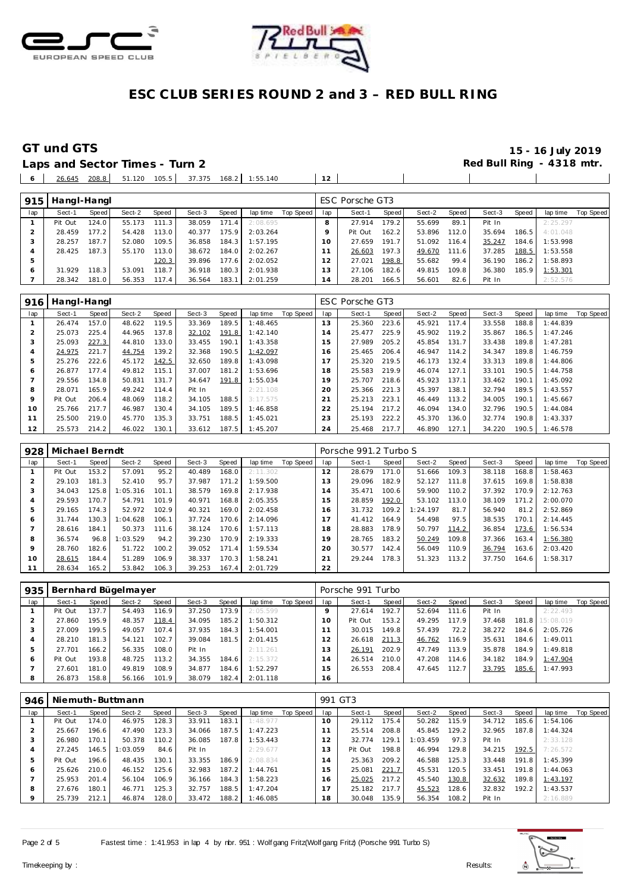



# **GT und GTS** 16 July 2019<br>
Laps and Sector Times - Turn 2 **15 - 16 July 2019**<br>
Red Bull Ring - 4318 mtr.

 $\sim$  1

 $\mathbf{1}$ 

Laps and Sector Times - Turn 2 26.645 208.8 51.120 105.5 37.375 168.2 1:55.140 **12**

| 915 | Hangl-Hangl |       |        |       |        |        |          |           |                | ESC Porsche GT3 |       |        |                    |        |       |          |           |
|-----|-------------|-------|--------|-------|--------|--------|----------|-----------|----------------|-----------------|-------|--------|--------------------|--------|-------|----------|-----------|
| lap | Sect-1      | Speed | Sect-2 | Speed | Sect-3 | Speed  | lap time | Top Speed | lap            | Sect-1          | Speed | Sect-2 | Speed              | Sect-3 | Speed | lap time | Top Speed |
|     | Pit Out     | 124.0 | 55.173 | 111.3 | 38.059 | 171.4  | 2:08.695 |           | 8              | 27.914          | 179.2 | 55.699 | 89.1               | Pit In |       | 2:25.297 |           |
|     | 28.459      | 177.2 | 54.428 | 113.0 | 40.377 | 175.9  | 2:03.264 |           | o              | Pit Out         | 162.2 | 53.896 | 112.0              | 35.694 | 186.5 | 4:01.048 |           |
|     | 28.257      | 187.7 | 52.080 | 109.5 | 36.858 | 184.3  | 1:57.195 |           | 10             | 27.659          | 191.7 | 51.092 | 116.4              | 35.247 | 184.6 | 1:53.998 |           |
| 4   | 28.425      | 187.3 | 55.170 | 113.0 | 38.672 | 184.01 | 2:02.267 |           |                | 26.603          | 197.3 | 49.670 | 111.6              | 37.285 | 188.5 | 1:53.558 |           |
|     |             |       |        | 120.3 | 39.896 | 177.6  | 2:02.052 |           | 12             | 27.021          | 198.8 | 55.682 | 99.4               | 36.190 | 186.2 | 1:58.893 |           |
|     | 31.929      | 118.3 | 53.091 | 118.7 | 36.918 | 180.3  | 2:01.938 |           | 13             | 27.106          | 182.6 | 49.815 | 109.8 <sub>1</sub> | 36.380 | 185.9 | 1:53.301 |           |
|     | 28.342      | 181.0 | 56.353 | 117.4 | 36.564 | 183.1  | 2:01.259 |           | $\overline{4}$ | 28.201          | 166.5 | 56.601 | 82.6               | Pit In |       | 2:52.576 |           |

| 916     | Hangl-Hangl |       |        |       |        |       |          |           |     | ESC Porsche GT3 |       |        |       |        |       |          |           |
|---------|-------------|-------|--------|-------|--------|-------|----------|-----------|-----|-----------------|-------|--------|-------|--------|-------|----------|-----------|
| lap     | Sect-1      | Speed | Sect-2 | Speed | Sect-3 | Speed | lap time | Top Speed | lap | Sect-1          | Speed | Sect-2 | Speed | Sect-3 | Speed | lap time | Top Speed |
|         | 26.474      | 157.0 | 48.622 | 119.5 | 33.369 | 189.5 | 1:48.465 |           | 13  | 25.360          | 223.6 | 45.921 | 117.4 | 33.558 | 188.8 | 1:44.839 |           |
|         | 25.073      | 225.4 | 44.965 | 137.8 | 32.102 | 191.8 | 1:42.140 |           | 14  | 25.477          | 225.9 | 45.902 | 119.2 | 35.867 | 186.5 | 1:47.246 |           |
| 3       | 25.093      | 227.3 | 44.810 | 133.0 | 33.455 | 190.1 | 1:43.358 |           | 15  | 27.989          | 205.2 | 45.854 | 131.7 | 33.438 | 189.8 | 1:47.281 |           |
|         | 24.975      | 221.7 | 44.754 | 139.2 | 32.368 | 190.5 | 1:42.097 |           | 16  | 25.465          | 206.4 | 46.947 | 114.2 | 34.347 | 189.8 | 1:46.759 |           |
|         | 25.276      | 222.6 | 45.172 | 142.5 | 32.650 | 189.8 | 1:43.098 |           |     | 25.320          | 219.5 | 46.173 | 132.4 | 33.313 | 189.8 | 1:44.806 |           |
| Ô       | 26.877      | 177.4 | 49.812 | 115.1 | 37.007 | 181.2 | 1:53.696 |           | 18  | 25.583          | 219.9 | 46.074 | 127.1 | 33.101 | 190.5 | 1:44.758 |           |
|         | 29.556      | 134.8 | 50.831 | 131.7 | 34.647 | 191.8 | 1:55.034 |           | 19  | 25.707          | 218.6 | 45.923 | 137.1 | 33.462 | 190.1 | 1:45.092 |           |
| 8       | 28.071      | 165.9 | 49.242 | 114.4 | Pit In |       | 2:21.108 |           | 20  | 25.366          | 221.3 | 45.397 | 138.1 | 32.794 | 189.5 | 1:43.557 |           |
| $\circ$ | Pit Out     | 206.4 | 48.069 | 118.2 | 34.105 | 188.5 | 3:17.575 |           | 21  | 25.213          | 223.1 | 46.449 | 113.2 | 34.005 | 190.1 | 1:45.667 |           |
| 10      | 25.766      | 217.7 | 46.987 | 130.4 | 34.105 | 189.5 | 1:46.858 |           | 22  | 25.194          | 217.2 | 46.094 | 134.0 | 32.796 | 190.5 | 1:44.084 |           |
| 11      | 25.500      | 219.0 | 45.770 | 135.3 | 33.751 | 188.5 | 1:45.021 |           | 23  | 25.193          | 222.2 | 45.370 | 136.0 | 32.774 | 190.8 | 1:43.337 |           |
| 12      | 25.573      | 214.2 | 46.022 | 130.1 | 33.612 | 187.5 | 1:45.207 |           | 24  | 25.468          | 217.7 | 46.890 | 127.1 | 34.220 | 190.5 | 1:46.578 |           |

| 928 | Michael Berndt |       |          |       |        |       |          |           |     | Porsche 991.2 Turbo S |       |          |       |        |       |          |           |
|-----|----------------|-------|----------|-------|--------|-------|----------|-----------|-----|-----------------------|-------|----------|-------|--------|-------|----------|-----------|
| lap | Sect-1         | Speed | Sect-2   | Speed | Sect-3 | Speed | lap time | Top Speed | lap | Sect-1                | Speed | Sect-2   | Speed | Sect-3 | Speed | lap time | Top Speed |
|     | Pit Out        | 153.2 | 57.091   | 95.2  | 40.489 | 168.0 | 2:11.302 |           | 12  | 28.679                | 171.0 | 51.666   | 109.3 | 38.118 | 168.8 | 1:58.463 |           |
|     | 29.103         | 181.3 | 52.410   | 95.7  | 37.987 | 171.2 | 1:59.500 |           | 13  | 29.096                | 182.9 | 52.127   | 111.8 | 37.615 | 169.8 | 1:58.838 |           |
|     | 34.043         | 125.8 | 1:05.316 | 101.1 | 38.579 | 169.8 | 2:17.938 |           | , 4 | 35.471                | 100.6 | 59.900   | 110.2 | 37.392 | 170.9 | 2:12.763 |           |
| 4   | 29.593         | 170.7 | 54.791   | 101.9 | 40.971 | 168.8 | 2:05.355 |           | 5   | 28.859                | 192.0 | 53.102   | 113.0 | 38.109 | 171.2 | 2:00.070 |           |
| 5   | 29.165         | 174.3 | 52.972   | 102.9 | 40.321 | 169.0 | 2:02.458 |           | 16  | 31.732                | 109.2 | 1:24.197 | 81.7  | 56.940 | 81.2  | 2:52.869 |           |
| 6   | 31.744         | 130.3 | 1:04.628 | 106.1 | 37.724 | 170.6 | 2:14.096 |           | 7   | 41.412                | 164.9 | 54.498   | 97.5  | 38.535 | 170.1 | 2:14.445 |           |
|     | 28.616         | 184.1 | 50.373   | 111.6 | 38.124 | 170.6 | 1:57.113 |           | 18  | 28.883                | 178.9 | 50.797   | 114.2 | 36.854 | 173.6 | 1:56.534 |           |
| 8   | 36.574         | 96.8  | 1:03.529 | 94.2  | 39.230 | 170.9 | 2:19.333 |           | 19  | 28.765                | 183.2 | 50.249   | 109.8 | 37.366 | 163.4 | 1:56.380 |           |
| 9   | 28.760         | 182.6 | 51.722   | 100.2 | 39.052 | 171.4 | 1:59.534 |           | 20  | 30.577                | 142.4 | 56.049   | 110.9 | 36.794 | 163.6 | 2:03.420 |           |
| 10  | 28.615         | 184.4 | 51.289   | 106.9 | 38.337 | 170.3 | 1:58.241 |           | 21  | 29.244                | 178.3 | 51.323   | 113.2 | 37.750 | 164.6 | 1:58.317 |           |
| 11  | 28.634         | 165.2 | 53.842   | 106.3 | 39.253 | 167.4 | 2:01.729 |           | 22  |                       |       |          |       |        |       |          |           |

| 935 |         |       | Bernhard Bügelmayer |       |        |       |          |           |     | Porsche 991 Turbo |       |        |       |        |       |           |           |
|-----|---------|-------|---------------------|-------|--------|-------|----------|-----------|-----|-------------------|-------|--------|-------|--------|-------|-----------|-----------|
| lap | Sect-1  | Speed | Sect-2              | Speed | Sect-3 | Speed | lap time | Top Speed | lap | Sect-1            | Speed | Sect-2 | Speed | Sect-3 | Speed | lap time  | Top Speed |
|     | Pit Out | 137.7 | 54.493              | 116.9 | 37.250 | 173.9 | 2:05.599 |           |     | 27.614            | 192.7 | 52.694 | 111.6 | Pit In |       | 2:22.493  |           |
|     | 27.860  | 195.9 | 48.357              | 118.4 | 34.095 | 185.2 | 1:50.312 |           | 10  | Pit Out           | 153.2 | 49.295 | 117.9 | 37.468 | 181.8 | 15:08.019 |           |
| 3   | 27.009  | 199.5 | 49.057              | 107.4 | 37.935 | 184.3 | 1:54.001 |           |     | 30.015            | 149.8 | 57.439 | 72.2  | 38.272 | 184.6 | 2:05.726  |           |
| 4   | 28.210  | 181.3 | 54.121              | 102.7 | 39.084 | 181.5 | 2:01.415 |           |     | 26.618            | 211.3 | 46.762 | 116.9 | 35.631 | 184.6 | 1:49.011  |           |
| 5   | 27.701  | 166.2 | 56.335              | 108.0 | Pit In |       | 2:11.261 |           | 13  | 26.191            | 202.9 | 47.749 | 113.9 | 35.878 | 184.9 | 1:49.818  |           |
| 6   | Pit Out | 193.8 | 48.725              | 113.2 | 34.355 | 184.6 | 2:15.372 |           | 14  | 26.514            | 210.0 | 47.208 | 114.6 | 34.182 | 184.9 | 1:47.904  |           |
|     | 27.601  | 181.0 | 49.819              | 108.9 | 34.877 | 184.6 | 1:52.297 |           | 15  | 26.553            | 208.4 | 47.645 | 112.7 | 33.795 | 185.6 | 1:47.993  |           |
| 8   | 26.873  | 158.8 | 56.166              | 101.9 | 38.079 | 182.4 | 2:01.118 |           | 16  |                   |       |        |       |        |       |           |           |

| 946 |         |       | Niemuth-Buttmann |       |        |       |          |           | 991 GT3 |         |       |          |       |        |       |          |           |
|-----|---------|-------|------------------|-------|--------|-------|----------|-----------|---------|---------|-------|----------|-------|--------|-------|----------|-----------|
| lap | Sect-1  | Speed | Sect-2           | Speed | Sect-3 | Speed | lap time | Top Speed | lap     | Sect-1  | Speed | Sect-2   | Speed | Sect-3 | Speed | lap time | Top Speed |
|     | Pit Out | 174.0 | 46.975           | 128.3 | 33.911 | 183.1 | 1:48.977 |           | 10      | 29.112  | 175.4 | 50.282   | 115.9 | 34.712 | 185.6 | 1:54.106 |           |
|     | 25.667  | 196.6 | 47.490           | 123.3 | 34.066 | 187.5 | 1:47.223 |           |         | 25.514  | 208.8 | 45.845   | 129.2 | 32.965 | 187.8 | 1:44.324 |           |
| 3   | 26.980  | 170.1 | 50.378           | 110.2 | 36.085 | 187.8 | 1:53.443 |           |         | 32.774  | 129.1 | 1:03.459 | 97.3  | Pit In |       | 2:33.128 |           |
|     | 27.245  | 146.5 | : 03.059         | 84.6  | Pit In |       | 2:29.677 |           | 3       | Pit Out | 198.8 | 46.994   | 129.8 | 34.215 | 192.5 | 7:26.572 |           |
| ь   | Pit Out | 196.6 | 48.435           | 130.1 | 33.355 | 186.9 | 2:08.834 |           | 14      | 25.363  | 209.2 | 46.588   | 125.3 | 33.448 | 191.8 | 1:45.399 |           |
| 6   | 25.626  | 210.0 | 46.152           | 125.6 | 32.983 | 187.2 | 1:44.761 |           | 5       | 25.081  | 221.7 | 45.531   | 120.5 | 33.451 | 191.8 | 1:44.063 |           |
|     | 25.953  | 201.4 | 56.104           | 106.9 | 36.166 | 184.3 | 1:58.223 |           | 16      | 25.025  | 217.2 | 45.540   | 130.8 | 32.632 | 189.8 | 1:43.197 |           |
| 8   | 27.676  | 180.1 | 46.771           | 125.3 | 32.757 | 188.5 | 1:47.204 |           |         | 25.182  | 217.7 | 45.523   | 128.6 | 32.832 | 192.2 | 1:43.537 |           |
| 9   | 25.739  | 212.1 | 46.874           | 128.0 | 33.472 | 188.2 | 1:46.085 |           | 18      | 30.048  | 135.9 | 56.354   | 108.2 | Pit In |       | 2:16.889 |           |

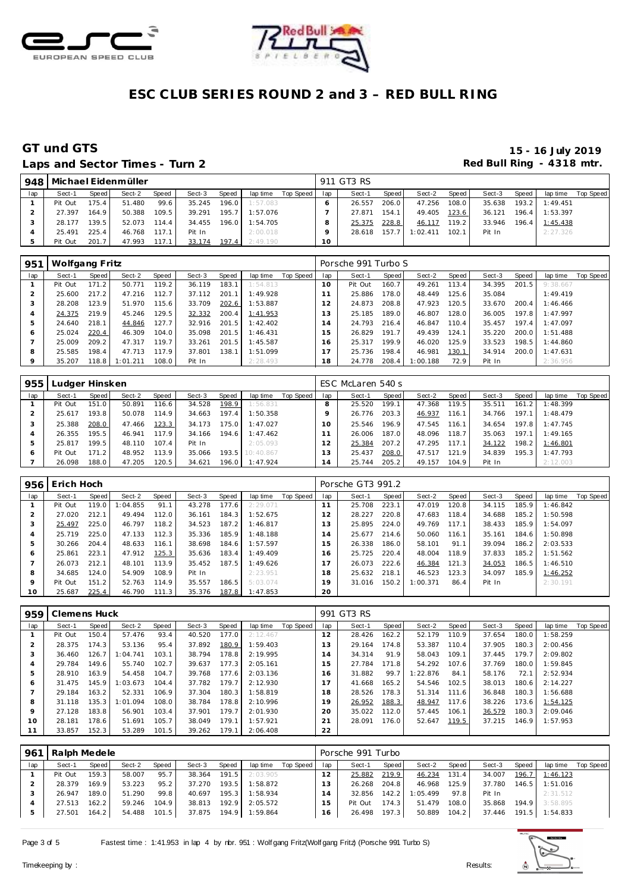



## Laps and Sector Times - Turn 2 **Red Bull Ring - 4318 mtr.**

|     |         |       | 948   Michael Eidenmüller |                |        |       |          |           |     | 911 GT3 RS |       |          |       |        |         |                |           |
|-----|---------|-------|---------------------------|----------------|--------|-------|----------|-----------|-----|------------|-------|----------|-------|--------|---------|----------------|-----------|
| lap | Sect-1  | Speed | Sect-2                    | Speed <b>i</b> | Sect-3 | Speed | lap time | Top Speed | lap | Sect-1     | Speed | Sect-2   | Speed | Sect-3 | Speed   | lap time       | Top Speed |
|     | Pit Out | 175.4 | 51.480                    | 99.6           | 35.245 | 196.0 | 1:57.083 |           |     | 26.557     | 206.0 | 47.256   | 108.0 | 35.638 |         | 193.2 1:49.451 |           |
|     | 27.397  | 164.9 | 50.388                    | 109.5          | 39.291 | 195.7 | 1:57.076 |           |     | 27.871     | 154.1 | 49.405   | 123.6 | 36.121 | 196.4   | 1:53.397       |           |
|     | 28.177  | 139.5 | 52.073                    | 114.4          | 34.455 | 196.0 | 1:54.705 |           |     | 25.375     | 228.8 | 46.117   | 119.2 | 33.946 | $196.4$ | 1:45.438       |           |
|     | 25.491  | 225.4 | 46.768                    | 117.1          | Pit In |       | 2:00.018 |           |     | 28.618     | 157.7 | 1:02.411 | 102.1 | Pit In |         | 2:27.326       |           |
|     | Pit Out | 201.7 | 47.993                    | 117.1          | 33.174 | 197.4 | 2:49.190 |           | 10  |            |       |          |       |        |         |                |           |

| 951     | Wolfgang Fritz |                    |          |       |        |       |          |           |                | Porsche 991 Turbo S |       |          |       |        |       |          |           |
|---------|----------------|--------------------|----------|-------|--------|-------|----------|-----------|----------------|---------------------|-------|----------|-------|--------|-------|----------|-----------|
| lap     | Sect-1         | Speed I            | Sect-2   | Speed | Sect-3 | Speed | lap time | Top Speed | lap            | Sect-1              | Speed | Sect-2   | Speed | Sect-3 | Speed | lap time | Top Speed |
|         | Pit Out        | 171.2              | 50.771   | 119.2 | 36.119 | 183.1 | 1:54.813 |           | 10             | Pit Out             | 160.7 | 49.261   | 113.4 | 34.395 | 201.5 | 9:38.667 |           |
|         | 25.600         | 217.2 <sub>1</sub> | 47.216   | 112.7 | 37.112 | 201.1 | 1:49.928 |           |                | 25.886              | 178.0 | 48.449   | 125.6 | 35.084 |       | 1:49.419 |           |
| 3       | 28.208         | 123.9              | 51.970   | 115.6 | 33.709 | 202.6 | 1:53.887 |           | $\overline{2}$ | 24.873              | 208.8 | 47.923   | 120.5 | 33.670 | 200.4 | 1:46.466 |           |
| 4       | 24.375         | 219.9              | 45.246   | 129.5 | 32.332 | 200.4 | 1:41.953 |           | 3              | 25.185              | 189.0 | 46.807   | 128.0 | 36.005 | 197.8 | 1:47.997 |           |
| 5       | 24.640         | 218.1              | 44.846   | 127.7 | 32.916 | 201.5 | 1:42.402 |           | $\overline{4}$ | 24.793              | 216.4 | 46.847   | 110.4 | 35.457 | 197.4 | 1:47.097 |           |
| O       | 25.024         | 220.4              | 46.309   | 104.0 | 35.098 | 201.5 | 1:46.431 |           | 5              | 26.829              | 191.7 | 49.439   | 124.1 | 35.220 | 200.0 | 1:51.488 |           |
|         | 25.009         | 209.2              | 47.317   | 119.7 | 33.261 | 201.5 | 1:45.587 |           | 6              | 25.317              | 199.9 | 46.020   | 125.9 | 33.523 | 198.5 | 1:44.860 |           |
| 8       | 25.585         | 198.4              | 47.713   | 117.9 | 37.801 | 138.1 | 1:51.099 |           |                | 25.736              | 198.4 | 46.981   | 130.1 | 34.914 | 200.0 | 1:47.631 |           |
| $\circ$ | 35.207         | 118.8              | 1:01.211 | 108.0 | Pit In |       | 2:28.493 |           | 18             | 24.778              | 208.4 | 1:00.188 | 72.9  | Pit In |       | 2:36.956 |           |

| 955 | Ludger Hinsken |       |        |       |        |       |           |           |     | ESC McLaren 540 s |       |        |       |        |       |          |           |
|-----|----------------|-------|--------|-------|--------|-------|-----------|-----------|-----|-------------------|-------|--------|-------|--------|-------|----------|-----------|
| lap | Sect-1         | Speed | Sect-2 | Speed | Sect-3 | Speed | lap time  | Top Speed | lap | Sect-1            | Speed | Sect-2 | Speed | Sect-3 | Speed | lap time | Top Speed |
|     | Pit Out        | 151.0 | 50.891 | 116.6 | 34.528 | 198.9 | 1:56.831  |           |     | 25.520            | 199.1 | 47.368 | 119.5 | 35.511 | 161.2 | 1:48.399 |           |
|     | 25.617         | 193.8 | 50.078 | 114.9 | 34.663 | 197.4 | 1:50.358  |           |     | 26.776            | 203.3 | 46.937 | 116.1 | 34.766 | 197.1 | 1:48.479 |           |
|     | 25.388         | 208.0 | 47.466 | 123.3 | 34.173 | 175.0 | 1:47.027  |           | 10  | 25.546            | 196.9 | 47.545 | 116.1 | 34.654 | 197.8 | 1:47.745 |           |
|     | 26.355         | 195.5 | 46.941 | 117.9 | 34.166 | 194.6 | 1:47.462  |           |     | 26.006            | 187.0 | 48.096 | 118.7 | 35.063 | 197.1 | 1:49.165 |           |
|     | 25.817         | 199.5 | 48.110 | 107.4 | Pit In |       | 2:05.093  |           |     | 25.384            | 207.2 | 47.295 | 117.1 | 34.122 | 198.2 | 1:46.801 |           |
| c   | Pit Out        | 171.2 | 48.952 | 113.9 | 35.066 | 193.5 | 10:40.867 |           | 13  | 25.437            | 208.0 | 47.517 | 121.9 | 34.839 | 195.3 | 1:47.793 |           |
|     | 26.098         | 188.0 | 47.205 | 120.5 | 34.621 | 196.0 | 1:47.924  |           | 14  | 25.744            | 205.2 | 49.157 | 104.9 | Pit In |       | 2:12.003 |           |

| 956     | Erich Hoch |       |         |       |        |       |          |           |                | Porsche GT3 991.2 |       |          |       |        |       |          |           |
|---------|------------|-------|---------|-------|--------|-------|----------|-----------|----------------|-------------------|-------|----------|-------|--------|-------|----------|-----------|
| lap     | Sect-1     | Speed | Sect-2  | Speed | Sect-3 | Speed | lap time | Top Speed | lap            | Sect-1            | Speed | Sect-2   | Speed | Sect-3 | Speed | lap time | Top Speed |
|         | Pit Out    | 119.0 | :04.855 | 91.1  | 43.278 | 177.6 | 2:29.071 |           |                | 25.708            | 223.1 | 47.019   | 120.8 | 34.115 | 185.9 | 1:46.842 |           |
|         | 27.020     | 212.1 | 49.494  | 112.0 | 36.161 | 184.3 | 1:52.675 |           | $\overline{2}$ | 28.227            | 220.8 | 47.683   | 118.4 | 34.688 | 185.2 | 1:50.598 |           |
| 3       | 25.497     | 225.0 | 46.797  | 118.2 | 34.523 | 187.2 | 1:46.817 |           | 3              | 25.895            | 224.0 | 49.769   | 117.1 | 38.433 | 185.9 | 1:54.097 |           |
| 4       | 25.719     | 225.0 | 47.133  | 112.3 | 35.336 | 185.9 | 1:48.188 |           | $\overline{A}$ | 25.677            | 214.6 | 50.060   | 116.1 | 35.161 | 184.6 | 1:50.898 |           |
| 5       | 30.266     | 204.4 | 48.633  | 116.1 | 38.698 | 184.6 | 1:57.597 |           | 5              | 26.338            | 186.0 | 58.101   | 91.1  | 39.094 | 186.2 | 2:03.533 |           |
| O       | 25.861     | 223.1 | 47.912  | 125.3 | 35.636 | 183.4 | 1:49.409 |           | 16             | 25.725            | 220.4 | 48.004   | 118.9 | 37.833 | 185.2 | 1:51.562 |           |
|         | 26.073     | 212.1 | 48.101  | 113.9 | 35.452 | 187.5 | 1:49.626 |           |                | 26.073            | 222.6 | 46.384   | 121.3 | 34.053 | 186.5 | 1:46.510 |           |
| 8       | 34.685     | 124.0 | 54.909  | 108.9 | Pit In |       | 2:23.951 |           | 18             | 25.632            | 218.1 | 46.523   | 123.3 | 34.097 | 185.9 | 1:46.252 |           |
| $\circ$ | Pit Out    | 151.2 | 52.763  | 114.9 | 35.557 | 186.5 | 5:03.074 |           | 19             | 31.016            | 150.2 | 1:00.371 | 86.4  | Pit In |       | 2:30.191 |           |
| 10      | 25.687     | 225.4 | 46.790  | 111.3 | 35.376 | 187.8 | 1:47.853 |           | 20             |                   |       |          |       |        |       |          |           |

| 959     | Clemens Huck |       |          |       |        |       |          |           |                | 991 GT3 RS |       |          |       |        |       |          |           |
|---------|--------------|-------|----------|-------|--------|-------|----------|-----------|----------------|------------|-------|----------|-------|--------|-------|----------|-----------|
| lap     | Sect-1       | Speed | Sect-2   | Speed | Sect-3 | Speed | lap time | Top Speed | lap            | Sect-1     | Speed | Sect-2   | Speed | Sect-3 | Speed | lap time | Top Speed |
|         | Pit Out      | 150.4 | 57.476   | 93.4  | 40.520 | 177.0 | 2:12.467 |           | 12             | 28.426     | 162.2 | 52.179   | 110.9 | 37.654 | 180.0 | 1:58.259 |           |
|         | 28.375       | 174.3 | 53.136   | 95.4  | 37.892 | 180.9 | 1:59.403 |           | 13             | 29.164     | 174.8 | 53.387   | 110.4 | 37.905 | 180.3 | 2:00.456 |           |
| 3       | 36.460       | 126.7 | 1:04.741 | 103.1 | 38.794 | 178.8 | 2:19.995 |           | $\overline{4}$ | 34.314     | 91.9  | 58.043   | 109.1 | 37.445 | 179.7 | 2:09.802 |           |
| 4       | 29.784       | 149.6 | 55.740   | 102.7 | 39.637 | 177.3 | 2:05.161 |           | 5              | 27.784     | 171.8 | 54.292   | 107.6 | 37.769 | 180.0 | 1:59.845 |           |
| 5       | 28.910       | 163.9 | 54.458   | 104.7 | 39.768 | 177.6 | 2:03.136 |           | 16             | 31.882     | 99.7  | 1:22.876 | 84.1  | 58.176 | 72.1  | 2:52.934 |           |
| O       | 31.475       | 145.9 | : 03.673 | 104.4 | 37.782 | 179.7 | 2:12.930 |           | $\overline{7}$ | 41.668     | 165.2 | 54.546   | 102.5 | 38.013 | 180.6 | 2:14.227 |           |
|         | 29.184       | 163.2 | 52.331   | 106.9 | 37.304 | 180.3 | 1:58.819 |           | 18             | 28.526     | 178.3 | 51.314   | 111.6 | 36.848 | 180.3 | 1:56.688 |           |
| 8       | 31.118       | 135.3 | 1:01.094 | 108.0 | 38.784 | 178.8 | 2:10.996 |           | 19             | 26.952     | 188.3 | 48.947   | 117.6 | 38.226 | 173.6 | 1:54.125 |           |
| $\circ$ | 27.128       | 183.8 | 56.901   | 103.4 | 37.901 | 179.7 | 2:01.930 |           | 20             | 35.022     | 112.0 | 57.445   | 106.1 | 36.579 | 180.3 | 2:09.046 |           |
| 10      | 28.181       | 178.6 | 51.691   | 105.7 | 38.049 | 179.1 | 1:57.921 |           | 21             | 28.091     | 176.0 | 52.647   | 119.5 | 37.215 | 146.9 | 1:57.953 |           |
|         | 33.857       | 152.3 | 53.289   | 101.5 | 39.262 | 179.1 | 2:06.408 |           | 22             |            |       |          |       |        |       |          |           |

| 961 | Ralph Medele |       |        |       |        |       |          |           |     | Porsche 991 Turbo |       |          |       |        |       |          |           |
|-----|--------------|-------|--------|-------|--------|-------|----------|-----------|-----|-------------------|-------|----------|-------|--------|-------|----------|-----------|
| lap | Sect-1       | Speed | Sect-2 | Speed | Sect-3 | Speed | lap time | Top Speed | lap | Sect-1            | Speed | Sect-2   | Speed | Sect-3 | Speed | lap time | Top Speed |
|     | Pit Out      | 159.3 | 58.007 | 95.7  | 38.364 | 191.5 | 2:03.905 |           |     | 25.882            | 219.9 | 46.234   | 131.4 | 34.007 | 196.7 | 1:46.123 |           |
|     | 28.379       | 169.9 | 53.223 | 95.2  | 37.270 | 193.5 | 1:58.872 |           |     | 26.268            | 204.8 | 46.968   | 125.9 | 37.780 | 146.5 | 1:51.016 |           |
|     | 26.947       | 189.0 | 51.290 | 99.8  | 40.697 | 195.3 | 1:58.934 |           |     | 32.856            | 142.2 | 1:05.499 | 97.8  | Pit In |       | 2:31.512 |           |
|     | 27.513       | 162.2 | 59.246 | 104.9 | 38.813 | 192.9 | 2:05.572 |           | 5   | Pit Out           | 174.3 | 51.479   | 108.0 | 35.868 | 194.9 | 3:58.895 |           |
|     | 27.501       | 164.2 | 54.488 | 101.5 | 37.875 | 194.9 | 1:59.864 |           | 16  | 26.498            | 197.3 | 50.889   | 104.2 | 37.446 | 191.5 | 1:54.833 |           |

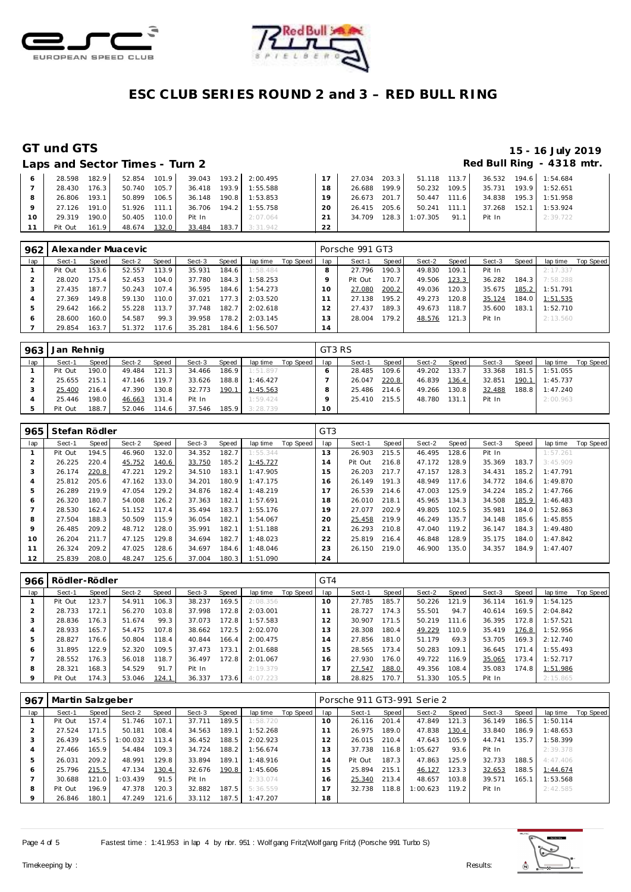



|         | Laps and Sector Times - Turn 2 |       |                |       |        |                       |                 |              |       |                    |        | Red Bull Ring - 4318 mtr |  |
|---------|--------------------------------|-------|----------------|-------|--------|-----------------------|-----------------|--------------|-------|--------------------|--------|--------------------------|--|
|         | 28.598                         | 182.9 | 52.854 101.9   |       |        | 39.043 193.2 2:00.495 | 17 <sup>1</sup> | 27.034       |       | 203.3 51.118 113.7 |        | 36.532 194.6 1:54.684    |  |
|         | 28.430                         | 176.3 | 50.740         | 105.7 |        | 36.418 193.9 1:55.588 | 18              | 26.688       | 199.9 | 50.232 109.5       | 35.731 | 193.9 1:52.651           |  |
| 8       | 26.806                         | 193.1 | 50.899         | 106.5 | 36.148 | 190.8 1:53.853        | 19              | 26.673       | 201.7 | 50.447 111.6       |        | 34.838 195.3 1:51.958    |  |
| $\circ$ | 27.126                         | 191.0 | $51.926$ 111.1 |       |        | 36.706 194.2 1:55.758 | 20              | 26.415       | 205.6 | $50.241$ 111.1     | 37.268 | 152.1 1:53.924           |  |
| 10      | 29.319                         | 190.0 | 50.405         | 110.0 | Pit In | 2:07.064              | 21              | 34.709 128.3 |       | $1:07.305$ 91.1    | Pit In | 2:39.722                 |  |
| 11      | Pit Out                        | 161.9 | 48.674 132.0   |       | 33.484 | 183.7 3:31.942        | 22              |              |       |                    |        |                          |  |

| 962           |         |       | Alexander Muacevic |       |        |       |          |           |     | Porsche 991 GT3 |       |        |       |        |       |          |           |
|---------------|---------|-------|--------------------|-------|--------|-------|----------|-----------|-----|-----------------|-------|--------|-------|--------|-------|----------|-----------|
| lap           | Sect-1  | Speed | Sect-2             | Speed | Sect-3 | Speed | lap time | Top Speed | lap | Sect-1          | Speed | Sect-2 | Speed | Sect-3 | Speed | lap time | Top Speed |
|               | Pit Out | 153.6 | 52.557             | 113.9 | 35.931 | 184.6 | 1:58.484 |           |     | 27.796          | 190.3 | 49.830 | 109.1 | Pit In |       | 2:17.337 |           |
|               | 28.020  | 75.4  | 52.453             | 104.0 | 37.780 | 184.3 | 1:58.253 |           |     | Pit Out         | 170.7 | 49.506 | 123.3 | 36.282 | 184.3 | 7:58.288 |           |
| 3             | 27.435  | 187.7 | 50.243             | 107.4 | 36.595 | 184.6 | 1:54.273 |           |     | 27.080          | 200.2 | 49.036 | 120.3 | 35.675 | 185.2 | 1:51.791 |           |
|               | 27.369  | 149.8 | 59.130             | 110.0 | 37.021 | 177.3 | 2:03.520 |           |     | 27.138          | 195.2 | 49.273 | 120.8 | 35.124 | 184.0 | 1:51.535 |           |
| $\mathcal{P}$ | 29.642  | 166.2 | 55.228             | 113.7 | 37.748 | 182.7 | 2:02.618 |           |     | 27.437          | 189.3 | 49.673 | 118.7 | 35.600 | 183.1 | 1:52.710 |           |
| 6             | 28.600  | 160.0 | 54.587             | 99.3  | 39.958 | 178.2 | 2:03.145 |           | 3   | 28.004          | 179.2 | 48.576 | 121.3 | Pit In |       | 2:13.560 |           |
|               | 29.854  | 163.7 | 51.372             | 117.6 | 35.281 | 184.6 | 1:56.507 |           | 14  |                 |       |        |       |        |       |          |           |

|     | 963   Jan Rehnig |       |        |       |        |       |          |           | GT3 RS |        |         |        |       |        |       |          |           |
|-----|------------------|-------|--------|-------|--------|-------|----------|-----------|--------|--------|---------|--------|-------|--------|-------|----------|-----------|
| lap | Sect-1           | Speed | Sect-2 | Speed | Sect-3 | Speed | lap time | Top Speed | lap    | Sect-1 | Speed I | Sect-2 | Speed | Sect-3 | Speed | lap time | Top Speed |
|     | Pit Out          | 190.0 | 49.484 | 121.3 | 34.466 | 186.9 | 1:51.897 |           |        | 28.485 | 109.6   | 49.202 | 133.7 | 33.368 | 181.5 | 1:51.055 |           |
|     | 25.655           | 215.1 | 47.146 | 119.7 | 33.626 | 188.8 | 1:46.427 |           |        | 26.047 | 220.8   | 46.839 | 136.4 | 32.851 | 190.1 | 1:45.737 |           |
|     | 25.400           | 216.4 | 47.390 | 130.8 | 32.773 | 190.1 | 1:45.563 |           |        | 25.486 | 214.6   | 49.266 | 130.8 | 32.488 | 188.8 | 1:47.240 |           |
|     | 25.446           | 198.0 | 46.663 | 131.4 | Pit In |       | 1:59.424 |           |        | 25.410 | 215.5   | 48.780 | 131.1 | Pit In |       | 2:00.963 |           |
|     | Pit Out          | 188.7 | 52.046 | 114.6 | 37.546 | 185.9 | 3:28.739 |           | ' O    |        |         |        |       |        |       |          |           |

| 965 | Stefan Rödler |       |        |       |        |       |          |           | GT <sub>3</sub> |         |       |        |       |        |       |          |           |
|-----|---------------|-------|--------|-------|--------|-------|----------|-----------|-----------------|---------|-------|--------|-------|--------|-------|----------|-----------|
| lap | Sect-1        | Speed | Sect-2 | Speed | Sect-3 | Speed | lap time | Top Speed | lap             | Sect-1  | Speed | Sect-2 | Speed | Sect-3 | Speed | lap time | Top Speed |
|     | Pit Out       | 194.5 | 46.960 | 132.0 | 34.352 | 182.7 | 1:55.344 |           | 13              | 26.903  | 215.5 | 46.495 | 128.6 | Pit In |       | 1:57.261 |           |
| 2   | 26.225        | 220.4 | 45.752 | 140.6 | 33.750 | 185.2 | 1:45.727 |           | $\overline{a}$  | Pit Out | 216.8 | 47.172 | 128.9 | 35.369 | 183.7 | 3:45.909 |           |
| 3   | 26.174        | 220.8 | 47.221 | 129.2 | 34.510 | 183.1 | 1:47.905 |           | 15              | 26.203  | 217.7 | 47.157 | 128.3 | 34.431 | 185.2 | 1:47.791 |           |
| 4   | 25.812        | 205.6 | 47.162 | 133.0 | 34.201 | 180.9 | 1:47.175 |           | 16              | 26.149  | 191.3 | 48.949 | 117.6 | 34.772 | 184.6 | 1:49.870 |           |
| 5   | 26.289        | 219.9 | 47.054 | 129.2 | 34.876 | 182.4 | 1:48.219 |           |                 | 26.539  | 214.6 | 47.003 | 125.9 | 34.224 | 185.2 | 1:47.766 |           |
| 6   | 26.320        | 180.7 | 54.008 | 126.2 | 37.363 | 182.1 | 1:57.691 |           | 18              | 26.010  | 218.1 | 45.965 | 134.3 | 34.508 | 185.9 | 1:46.483 |           |
|     | 28.530        | 162.4 | 51.152 | 117.4 | 35.494 | 183.7 | 1:55.176 |           | 19              | 27.077  | 202.9 | 49.805 | 102.5 | 35.981 | 184.0 | 1:52.863 |           |
| 8   | 27.504        | 188.3 | 50.509 | 115.9 | 36.054 | 182.1 | 1:54.067 |           | 20              | 25.458  | 219.9 | 46.249 | 135.7 | 34.148 | 185.6 | 1:45.855 |           |
| 9   | 26.485        | 209.2 | 48.712 | 128.0 | 35.991 | 182.1 | 1:51.188 |           | 21              | 26.293  | 210.8 | 47.040 | 119.2 | 36.147 | 184.3 | 1:49.480 |           |
| 10  | 26.204        | 211.7 | 47.125 | 129.8 | 34.694 | 182.7 | 1:48.023 |           | 22              | 25.819  | 216.4 | 46.848 | 128.9 | 35.175 | 184.0 | 1:47.842 |           |
| 11  | 26.324        | 209.2 | 47.025 | 128.6 | 34.697 | 184.6 | 1:48.046 |           | 23              | 26.150  | 219.0 | 46.900 | 135.0 | 34.357 | 184.9 | 1:47.407 |           |
| 12  | 25.839        | 208.0 | 48.247 | 125.6 | 37.004 | 180.3 | 1:51.090 |           | 24              |         |       |        |       |        |       |          |           |

| 966     | Rödler-Rödler |       |        |       |        |         |          |           | GT4 |        |       |        |       |        |       |          |           |
|---------|---------------|-------|--------|-------|--------|---------|----------|-----------|-----|--------|-------|--------|-------|--------|-------|----------|-----------|
| lap     | Sect-1        | Speed | Sect-2 | Speed | Sect-3 | Speed   | lap time | Top Speed | lap | Sect-1 | Speed | Sect-2 | Speed | Sect-3 | Speed | lap time | Top Speed |
|         | Pit Out       | 123.7 | 54.911 | 106.3 | 38.237 | 169.5   | 2:08.356 |           | 10  | 27.785 | 185.7 | 50.226 | 121.9 | 36.114 | 161.9 | 1:54.125 |           |
|         | 28.733        | 172.1 | 56.270 | 103.8 | 37.998 | 172.8   | 2:03.001 |           |     | 28.727 | 174.3 | 55.501 | 94.7  | 40.614 | 169.5 | 2:04.842 |           |
|         | 28.836        | 176.3 | 51.674 | 99.3  | 37.073 | 172.8   | 1:57.583 |           |     | 30.907 | 171.5 | 50.219 | 111.6 | 36.395 | 172.8 | 1:57.521 |           |
|         | 28.933        | 165.7 | 54.475 | 107.8 | 38.662 | 172.5   | 2:02.070 |           | 3   | 28.308 | 180.4 | 49.229 | 110.9 | 35.419 | 176.8 | 1:52.956 |           |
| 5       | 28.827        | 176.6 | 50.804 | 118.4 | 40.844 | 166.4   | 2:00.475 |           | 4   | 27.856 | 181.0 | 51.179 | 69.3  | 53.705 | 169.3 | 2:12.740 |           |
| 6       | 31.895        | 122.9 | 52.320 | 109.5 | 37.473 | 173.1   | 2:01.688 |           | .5  | 28.565 | 173.4 | 50.283 | 109.1 | 36.645 | 171.4 | 1:55.493 |           |
|         | 28.552        | 176.3 | 56.018 | 118.7 | 36.497 | 172.8   | 2:01.067 |           | 6   | 27.930 | 176.0 | 49.722 | 116.9 | 35.065 | 173.4 | 1:52.717 |           |
| 8       | 28.321        | 168.3 | 54.529 | 91.7  | Pit In |         | 2:19.379 |           |     | 27.547 | 188.0 | 49.356 | 108.4 | 35.083 | 174.8 | 1:51.986 |           |
| $\circ$ | Pit Out       | 174.3 | 53.046 | 124.1 | 36.337 | 173.6 I | 4:07.223 |           | 8   | 28.825 | 170.7 | 51.330 | 105.5 | Pit In |       | 2:15.865 |           |

| 967     | Martin Salzgeber |       |          |       |        |       |          |           |     | Porsche 911 GT3-991 Serie 2 |       |          |       |        |       |          |           |
|---------|------------------|-------|----------|-------|--------|-------|----------|-----------|-----|-----------------------------|-------|----------|-------|--------|-------|----------|-----------|
| lap     | Sect-1           | Speed | Sect-2   | Speed | Sect-3 | Speed | lap time | Top Speed | lap | Sect-1                      | Speed | Sect-2   | Speed | Sect-3 | Speed | lap time | Top Speed |
|         | Pit Out          | 157.4 | 51.746   | 107.1 | 37.711 | 189.5 | 1:58.720 |           | 10  | 26.116                      | 201.4 | 47.849   | 121.3 | 36.149 | 186.5 | 1:50.114 |           |
|         | 27.524           | 171.5 | 50.181   | 108.4 | 34.563 | 189.1 | 1:52.268 |           |     | 26.975                      | 189.0 | 47.838   | 130.4 | 33.840 | 186.9 | 1:48.653 |           |
| 3       | 26.439           | 145.5 | :00.032  | 113.4 | 36.452 | 188.5 | 2:02.923 |           | 12  | 26.015                      | 210.4 | 47.643   | 105.9 | 44.741 | 135.7 | 1:58.399 |           |
| 4       | 27.466           | 165.9 | 54.484   | 109.3 | 34.724 | 188.2 | 1:56.674 |           | 13  | 37.738                      | 116.8 | 1:05.627 | 93.6  | Pit In |       | 2:39.378 |           |
| 5       | 26.031           | 209.2 | 48.991   | 129.8 | 33.894 | 189.1 | 1:48.916 |           | 14  | Pit Out                     | 187.3 | 47.863   | 125.9 | 32.733 | 188.5 | 4:47.406 |           |
| 6       | 25.796           | 215.5 | 47.134   | 130.4 | 32.676 | 190.8 | 1:45.606 |           | 15  | 25.894                      | 215.1 | 46.127   | 123.3 | 32.653 | 188.5 | 1:44.674 |           |
|         | 30.688           | 121.0 | 1:03.439 | 91.5  | Pit In |       | 2:33.074 |           | 16  | 25.340                      | 213.4 | 48.657   | 103.8 | 39.571 | 165.1 | 1:53.568 |           |
| 8       | Pit Out          | 196.9 | 47.378   | 120.3 | 32.882 | 187.5 | 5:36.559 |           |     | 32.738                      | 118.8 | 1:00.623 | 119.2 | Pit In |       | 2:42.585 |           |
| $\circ$ | 26.846           | 180.1 | 47.249   | 121.6 | 33.112 | 187.5 | 1:47.207 |           | 18  |                             |       |          |       |        |       |          |           |